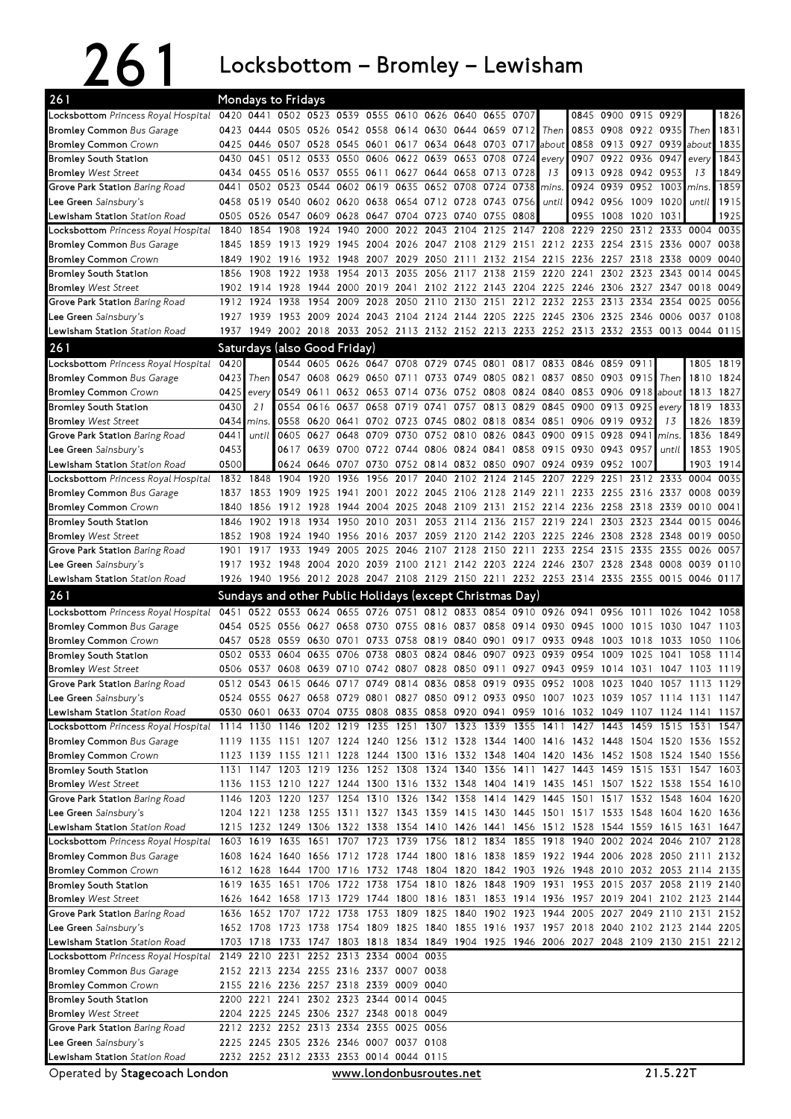## 261 Locksbottom – Bromley – Lewisham

| 261                                                                                                                           |              |           | <b>Mondays to Fridays</b>                            |           |                         |      |                |      |           |                                                                                                                                                                                        |                   |           |                          |              |                           |          |                     |              |
|-------------------------------------------------------------------------------------------------------------------------------|--------------|-----------|------------------------------------------------------|-----------|-------------------------|------|----------------|------|-----------|----------------------------------------------------------------------------------------------------------------------------------------------------------------------------------------|-------------------|-----------|--------------------------|--------------|---------------------------|----------|---------------------|--------------|
| Locksbottom Princess Royal Hospital                                                                                           |              |           | 0420 0441 0502 0523 0539 0555 0610 0626 0640 0655    |           |                         |      |                |      |           |                                                                                                                                                                                        | 0707              |           |                          |              | 0845 0900 0915 0929       |          |                     | 1826         |
| <b>Bromley Common Bus Garage</b>                                                                                              | 0423         |           |                                                      |           |                         |      |                |      |           | 0444 0505 0526 0542 0558 0614 0630 0644 0659 0712                                                                                                                                      |                   | Then      |                          |              | 0853 0908 0922 0935       |          | Then                | 1831         |
| <b>Bromley Common Crown</b>                                                                                                   | 0425         |           |                                                      |           |                         |      |                |      |           | 0446 0507 0528 0545 0601 0617 0634 0648 0703 0717                                                                                                                                      |                   | about     |                          |              | 0858 0913 0927 0939 about |          |                     | 1835         |
| <b>Bromley South Station</b>                                                                                                  | 0430         |           | 0451 0512 0533 0550 0606 0622 0639                   |           |                         |      |                |      | 0653      | 0708                                                                                                                                                                                   | 0724              | every     |                          |              | 0907 0922 0936 0947       |          | every               | 1843         |
| <b>Bromley West Street</b>                                                                                                    | 0434         |           |                                                      |           |                         |      |                |      |           | 0455 0516 0537 0555 0611 0627 0644 0658 0713 0728                                                                                                                                      |                   | 13        |                          |              | 0913 0928 0942 0953       |          | 13                  | 1849         |
| Grove Park Station Baring Road                                                                                                | 0441         |           | 0502 0523 0544 0602 0619 0635 0652 0708              |           |                         |      |                |      |           | 0724                                                                                                                                                                                   | 0738              | mins.     |                          | 0924 0939    | 0952 1003 mins.           |          |                     | 1859         |
| Lee Green Sainsbury's                                                                                                         | 0458         |           |                                                      |           |                         |      |                |      |           | 0519 0540 0602 0620 0638 0654 0712 0728 0743                                                                                                                                           | 0756              | until     |                          | 0942 0956    | 1009 1020                 |          | until               | 1915         |
| Lewisham Station Station Road<br>Locksbottom Princess Royal Hospital                                                          | 0505<br>1840 | 1854      | 0526 0547 0609 0628 0647 0704 0723 0740 0755<br>1908 | 1924      | 1940                    |      | 2000 2022 2043 |      | 2104 2125 |                                                                                                                                                                                        | 0808<br>2147 2208 |           | 0955<br>2229             | 1008<br>2250 | 1020 1031                 |          | 2312 2333 0004 0035 | 1925         |
| <b>Bromley Common</b> Bus Garage                                                                                              | 1845         |           | 1859 1913 1929                                       |           |                         |      |                |      |           | 1945 2004 2026 2047 2108 2129 2151 2212 2233 2254 2315 2336                                                                                                                            |                   |           |                          |              |                           |          | 0007                | 0038         |
| <b>Bromley Common</b> Crown                                                                                                   | 1849         | 1902      | 1916                                                 |           |                         |      |                |      |           | 1932 1948 2007 2029 2050 2111 2132 2154 2215                                                                                                                                           |                   |           | 2236 2257 2318 2338      |              |                           |          | 0009                | 0040         |
| <b>Bromley South Station</b>                                                                                                  | 1856         | 1908      | 1922                                                 | 1938      | 1954                    | 2013 | 2035 2056      |      | 2117      | 2138                                                                                                                                                                                   |                   | 2159 2220 | 2241                     | 2302         | 2323 2343                 |          | 0014                | 0045         |
| <b>Bromley West Street</b>                                                                                                    |              |           |                                                      |           |                         |      |                |      |           | 1902 1914 1928 1944 2000 2019 2041 2102 2122 2143 2204 2225                                                                                                                            |                   |           | 2246 2306 2327 2347 0018 |              |                           |          |                     | 0049         |
| Grove Park Station Baring Road                                                                                                | 1912         | 1924      | 1938                                                 | 1954      | 2009                    |      |                |      |           | 2028 2050 2110 2130 2151 2212 2232                                                                                                                                                     |                   |           | 2253                     |              | 2313 2334                 | 2354     | 0025                | 0056         |
| Lee Green Sainsbury's                                                                                                         |              |           |                                                      |           |                         |      |                |      |           | 1927 1939 1953 2009 2024 2043 2104 2124 2144 2205 2225 2245 2306 2325 2346 0006                                                                                                        |                   |           |                          |              |                           |          | 0037                | 0108         |
| Lewisham Station Station Road                                                                                                 | 1937         |           |                                                      |           |                         |      |                |      |           | 1949 2002 2018 2033 2052 2113 2132 2152 2213 2233 2252 2313 2332 2353 0013 0044                                                                                                        |                   |           |                          |              |                           |          |                     | 0115         |
| 261                                                                                                                           |              |           | Saturdays (also Good Friday)                         |           |                         |      |                |      |           |                                                                                                                                                                                        |                   |           |                          |              |                           |          |                     |              |
| Locksbottom Princess Royal Hospital                                                                                           | 0420         |           |                                                      |           |                         |      |                |      |           | 0544 0605 0626 0647 0708 0729 0745 0801 0817 0833 0846 0859 0911                                                                                                                       |                   |           |                          |              |                           |          |                     | 1805 1819    |
| <b>Bromley Common Bus Garage</b>                                                                                              | 0423         | Then      |                                                      |           |                         |      |                |      |           | 0547 0608 0629 0650 0711 0733 0749 0805 0821 0837 0850 0903 0915                                                                                                                       |                   |           |                          |              |                           | Then     | 1810                | 1824         |
| <b>Bromley Common Crown</b>                                                                                                   | 0425         | every     |                                                      |           |                         |      |                |      |           | 0549 0611 0632 0653 0714 0736 0752 0808 0824 0840                                                                                                                                      |                   |           | 0853 0906                |              | $0918$ about              |          | 1813                | 1827         |
| <b>Bromley South Station</b>                                                                                                  | 0430         | 21        | 0554                                                 | 0616      | 0637                    |      |                |      |           | 0658 0719 0741 0757 0813 0829 0845                                                                                                                                                     |                   |           | 0900 0913 0925           |              |                           | every    | 1819                | 1833         |
| <b>Bromley West Street</b>                                                                                                    | 0434         | mins.     |                                                      |           |                         |      |                |      |           | 0558 0620 0641 0702 0723 0745 0802 0818 0834 0851                                                                                                                                      |                   |           | 0906 0919                |              | 0932                      | 13       | 1826                | 1839         |
| Grove Park Station Baring Road                                                                                                | 0441         | until     |                                                      | 0605 0627 | 0648                    |      | 0709 0730      |      |           | 0752 0810 0826 0843 0900                                                                                                                                                               |                   |           | 0915 0928                |              | 0941                      | mins.    | 1836                | 1849         |
| Lee Green Sainsbury's                                                                                                         | 0453         |           |                                                      |           |                         |      |                |      |           | 0617 0639 0700 0722 0744 0806 0824 0841 0858 0915                                                                                                                                      |                   |           | 0930 0943                |              | 0957                      | until    | 1853                | 1905         |
| <b>Lewisham Station</b> Station Road                                                                                          | 0500         |           |                                                      | 0624 0646 | 0707                    | 0730 |                |      |           | 0752 0814 0832 0850 0907 0924                                                                                                                                                          |                   |           | 0939 0952                |              | 1007                      |          | 1903                | 1914<br>0035 |
| Locksbottom Princess Royal Hospital<br><b>Bromley Common Bus Garage</b>                                                       | 1832<br>1837 | 1848      | 1904<br>1853 1909 1925                               | 1920      | 1936                    | 1956 | 2017           | 2040 | 2102      | 2124<br>1941 2001 2022 2045 2106 2128 2149 2211 2233 2255 2316 2337 0008                                                                                                               | 2145              | 2207      | 2229                     | 2251         | 2312                      | 2333     | 0004                | 0039         |
| <b>Bromley Common Crown</b>                                                                                                   | 1840         |           | 1856 1912 1928                                       |           |                         |      |                |      |           | 1944 2004 2025 2048 2109 2131 2152 2214 2236 2258 2318 2339                                                                                                                            |                   |           |                          |              |                           |          | 0010                | 0041         |
| <b>Bromley South Station</b>                                                                                                  | 1846         |           |                                                      |           |                         |      |                |      |           | 1902 1918 1934 1950 2010 2031 2053 2114 2136 2157 2219 2241                                                                                                                            |                   |           |                          |              | 2303 2323 2344            |          | 0015                | 0046         |
| <b>Bromley</b> West Street                                                                                                    |              | 1852 1908 | 1924 1940                                            |           | 1956                    |      |                |      |           | 2016 2037 2059 2120 2142 2203 2225                                                                                                                                                     |                   |           | 2246 2308                |              | 2328 2348                 |          | 0019                | 0050         |
| Grove Park Station Baring Road                                                                                                | 1901         | 1917      | 1933                                                 | 1949      | 2005                    |      |                |      |           | 2025 2046 2107 2128 2150 2211                                                                                                                                                          |                   | 2233      | 2254                     |              | 2315 2335 2355            |          | 0026                | 0057         |
| Lee Green Sainsbury's                                                                                                         |              |           |                                                      |           |                         |      |                |      |           | 1917 1932 1948 2004 2020 2039 2100 2121 2142 2203 2224 2246 2307 2328 2348 0008                                                                                                        |                   |           |                          |              |                           |          | 0039 0110           |              |
| Lewisham Station Station Road                                                                                                 |              |           |                                                      |           |                         |      |                |      |           | 1926 1940 1956 2012 2028 2047 2108 2129 2150 2211 2232 2253 2314 2335 2355 0015 0046 0117                                                                                              |                   |           |                          |              |                           |          |                     |              |
| 261                                                                                                                           |              |           |                                                      |           |                         |      |                |      |           | Sundays and other Public Holidays (except Christmas Day)                                                                                                                               |                   |           |                          |              |                           |          |                     |              |
| Locksbottom Princess Royal Hospital                                                                                           |              |           |                                                      |           |                         |      |                |      |           | 0451 0522 0553 0624 0655 0726 0751 0812 0833 0854 0910 0926 0941                                                                                                                       |                   |           |                          | 0956         | 1011                      | 1026     | 1042 1058           |              |
| <b>Bromley Common Bus Garage</b>                                                                                              |              |           |                                                      |           |                         |      |                |      |           | 0730 0755 0816 0837 0858 0914                                                                                                                                                          |                   |           |                          |              |                           |          |                     | 1103         |
|                                                                                                                               |              | 0454 0525 | 0556 0627                                            |           | 0658                    |      |                |      |           |                                                                                                                                                                                        |                   | 0930      | 0945                     | 1000         | 1015                      | 1030     | 1047                |              |
| <b>Bromley Common Crown</b>                                                                                                   |              |           | 0457 0528 0559 0630 0701                             |           |                         |      |                |      |           | 0733 0758 0819 0840 0901 0917                                                                                                                                                          |                   | 0933      | 0948                     | 1003         | 1018                      | 1033     | 1050                | 1106         |
| <b>Bromley South Station</b>                                                                                                  |              | 0502 0533 | 0604 0635                                            |           | 0706                    | 0738 | 0803 0824      |      | 0846      |                                                                                                                                                                                        | 0907 0923         | 0939      | 0954                     | 1009         | 1025                      | 1041     | 1058                | 1114         |
| <b>Bromley</b> West Street                                                                                                    |              |           |                                                      |           |                         |      |                |      |           | 0506 0537 0608 0639 0710 0742 0807 0828 0850 0911 0927 0943 0959                                                                                                                       |                   |           |                          | 1014 1031    |                           |          | 1047 1103           | 1119         |
| Grove Park Station Baring Road                                                                                                |              |           |                                                      |           |                         |      |                |      |           | 0512 0543 0615 0646 0717 0749 0814 0836 0858 0919 0935 0952 1008 1023 1040 1057 1113 1129                                                                                              |                   |           |                          |              |                           |          |                     |              |
| Lee Green Sainsbury's                                                                                                         |              |           |                                                      |           |                         |      |                |      |           | 0524 0555 0627 0658 0729 0801 0827 0850 0912 0933 0950 1007 1023 1039 1057 1114 1131 1147                                                                                              |                   |           |                          |              |                           |          |                     |              |
| Lewisham Station Station Road                                                                                                 |              |           |                                                      |           |                         |      |                |      |           | 0530 0601 0633 0704 0735 0808 0835 0858 0920 0941 0959 1016 1032 1049 1107 1124 1141 1157                                                                                              |                   |           |                          |              |                           |          |                     |              |
| Locksbottom Princess Royal Hospital 1114 1130 1146 1202 1219 1235 1251 1307 1323 1339 1355 1411 1427 1443 1459 1515 1531 1547 |              |           |                                                      |           |                         |      |                |      |           |                                                                                                                                                                                        |                   |           |                          |              |                           |          |                     |              |
| <b>Bromley Common Bus Garage</b>                                                                                              |              |           |                                                      |           |                         |      |                |      |           | 1119 1135 1151 1207 1224 1240 1256 1312 1328 1344 1400 1416 1432 1448 1504 1520 1536 1552                                                                                              |                   |           |                          |              |                           |          |                     |              |
| <b>Bromley Common Crown</b><br><b>Bromley South Station</b>                                                                   |              |           |                                                      |           |                         |      |                |      |           | 1123 1139 1155 1211 1228 1244 1300 1316 1332 1348 1404 1420 1436 1452 1508 1524 1540 1556<br>1131 1147 1203 1219 1236 1252 1308 1324 1340 1356 1411 1427 1443 1459 1515 1531 1547 1603 |                   |           |                          |              |                           |          |                     |              |
| <b>Bromley West Street</b>                                                                                                    |              |           |                                                      |           |                         |      |                |      |           | 1136 1153 1210 1227 1244 1300 1316 1332 1348 1404 1419 1435 1451 1507 1522 1538 1554 1610                                                                                              |                   |           |                          |              |                           |          |                     |              |
| Grove Park Station Baring Road                                                                                                |              |           |                                                      |           |                         |      |                |      |           | 1146 1203 1220 1237 1254 1310 1326 1342 1358 1414 1429 1445 1501 1517 1532 1548                                                                                                        |                   |           |                          |              |                           |          | 1604                | 1620         |
| Lee Green Sainsbury's                                                                                                         |              |           |                                                      |           |                         |      |                |      |           | 1204 1221 1238 1255 1311 1327 1343 1359 1415 1430 1445 1501 1517 1533 1548 1604 1620 1636                                                                                              |                   |           |                          |              |                           |          |                     |              |
| <b>Lewisham Station</b> Station Road                                                                                          |              |           |                                                      |           |                         |      |                |      |           | 1215 1232 1249 1306 1322 1338 1354 1410 1426 1441 1456 1512 1528 1544 1559 1615 1631 1647                                                                                              |                   |           |                          |              |                           |          |                     |              |
| Locksbottom Princess Royal Hospital                                                                                           |              |           |                                                      |           |                         |      |                |      |           | 1603 1619 1635 1651 1707 1723 1739 1756 1812 1834 1855 1918 1940 2002 2024 2046 2107 2128                                                                                              |                   |           |                          |              |                           |          |                     |              |
| <b>Bromley Common Bus Garage</b>                                                                                              |              |           |                                                      |           |                         |      |                |      |           | 1608 1624 1640 1656 1712 1728 1744 1800 1816 1838 1859 1922 1944 2006 2028 2050 2111 2132                                                                                              |                   |           |                          |              |                           |          |                     |              |
| <b>Bromley Common</b> Crown                                                                                                   |              |           |                                                      |           |                         |      |                |      |           | 1612 1628 1644 1700 1716 1732 1748 1804 1820 1842 1903 1926 1948 2010 2032 2053 2114 2135                                                                                              |                   |           |                          |              |                           |          |                     |              |
| <b>Bromley South Station</b>                                                                                                  |              |           |                                                      |           |                         |      |                |      |           | 1619 1635 1651 1706 1722 1738 1754 1810 1826 1848 1909 1931 1953 2015 2037 2058 2119 2140                                                                                              |                   |           |                          |              |                           |          |                     |              |
| <b>Bromley</b> West Street                                                                                                    |              |           |                                                      |           |                         |      |                |      |           | 1626 1642 1658 1713 1729 1744 1800 1816 1831 1853 1914 1936 1957 2019 2041 2102 2123 2144                                                                                              |                   |           |                          |              |                           |          |                     |              |
| Grove Park Station Baring Road                                                                                                |              |           |                                                      |           |                         |      |                |      |           | 1636 1652 1707 1722 1738 1753 1809 1825 1840 1902 1923 1944 2005 2027 2049 2110 2131 2152                                                                                              |                   |           |                          |              |                           |          |                     |              |
| Lee Green Sainsbury's                                                                                                         |              |           |                                                      |           |                         |      |                |      |           | 1652 1708 1723 1738 1754 1809 1825 1840 1855 1916 1937 1957 2018 2040 2102 2123 2144 2205                                                                                              |                   |           |                          |              |                           |          |                     |              |
| Lewisham Station Station Road<br>Locksbottom Princess Royal Hospital                                                          |              |           | 2149 2210 2231 2252 2313 2334 0004 0035              |           |                         |      |                |      |           | 1703 1718 1733 1747 1803 1818 1834 1849 1904 1925 1946 2006 2027 2048 2109 2130 2151 2212                                                                                              |                   |           |                          |              |                           |          |                     |              |
| <b>Bromley Common Bus Garage</b>                                                                                              |              |           | 2152 2213 2234 2255 2316 2337 0007 0038              |           |                         |      |                |      |           |                                                                                                                                                                                        |                   |           |                          |              |                           |          |                     |              |
| <b>Bromley Common Crown</b>                                                                                                   |              |           | 2155 2216 2236 2257 2318 2339 0009 0040              |           |                         |      |                |      |           |                                                                                                                                                                                        |                   |           |                          |              |                           |          |                     |              |
| <b>Bromley South Station</b>                                                                                                  |              |           | 2200 2221 2241 2302 2323 2344 0014 0045              |           |                         |      |                |      |           |                                                                                                                                                                                        |                   |           |                          |              |                           |          |                     |              |
| <b>Bromley</b> West Street                                                                                                    |              |           | 2204 2225 2245 2306 2327 2348 0018 0049              |           |                         |      |                |      |           |                                                                                                                                                                                        |                   |           |                          |              |                           |          |                     |              |
| Grove Park Station Baring Road                                                                                                |              |           | 2212 2232 2252 2313 2334 2355 0025 0056              |           |                         |      |                |      |           |                                                                                                                                                                                        |                   |           |                          |              |                           |          |                     |              |
| Lee Green Sainsbury's                                                                                                         |              |           | 2225 2245 2305 2326 2346 0007 0037 0108              |           |                         |      |                |      |           |                                                                                                                                                                                        |                   |           |                          |              |                           |          |                     |              |
| Lewisham Station Station Road<br>Operated by Stagecoach London                                                                |              |           | 2232 2252 2312 2333 2353 0014 0044 0115              |           | www.londonbusroutes.net |      |                |      |           |                                                                                                                                                                                        |                   |           |                          |              |                           | 21.5.22T |                     |              |